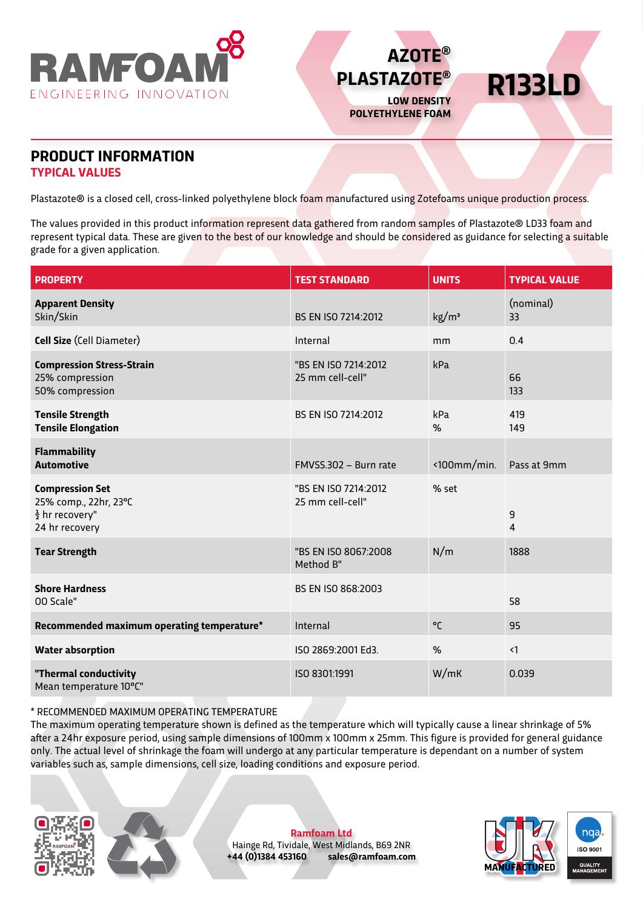



**R133LD**

## **PRODUCT INFORMATION TYPICAL VALUES**

Plastazote® is a closed cell, cross-linked polyethylene block foam manufactured using Zotefoams unique production process.

The values provided in this product information represent data gathered from random samples of Plastazote® LD33 foam and represent typical data. These are given to the best of our knowledge and should be considered as guidance for selecting a suitable grade for a given application.

| <b>PROPERTY</b>                                                                                 | <b>TEST STANDARD</b>                     | <b>UNITS</b>         | <b>TYPICAL VALUE</b> |
|-------------------------------------------------------------------------------------------------|------------------------------------------|----------------------|----------------------|
| <b>Apparent Density</b><br>Skin/Skin                                                            | BS EN ISO 7214:2012                      | kg/m <sup>3</sup>    | (nominal)<br>33      |
| Cell Size (Cell Diameter)                                                                       | Internal                                 | mm                   | 0.4                  |
| <b>Compression Stress-Strain</b><br>25% compression<br>50% compression                          | "BS EN ISO 7214:2012<br>25 mm cell-cell" | kPa                  |                      |
| <b>Tensile Strength</b><br><b>Tensile Elongation</b>                                            | BS EN ISO 7214:2012                      | kPa<br>%             | 419<br>149           |
| <b>Flammability</b><br><b>Automotive</b>                                                        | FMVSS.302 - Burn rate                    | $\langle$ 100mm/min. | Pass at 9mm          |
| <b>Compression Set</b><br>25% comp., 22hr, 23°C<br>$\frac{1}{2}$ hr recovery"<br>24 hr recovery | "BS EN ISO 7214:2012<br>25 mm cell-cell" | % set                | 9<br>4               |
| <b>Tear Strength</b>                                                                            | "BS EN ISO 8067:2008<br>Method B"        | N/m                  | 1888                 |
| <b>Shore Hardness</b><br>00 Scale"                                                              | BS EN ISO 868:2003                       |                      | 58                   |
| Recommended maximum operating temperature*                                                      | Internal                                 | °C                   | 95                   |
| <b>Water absorption</b>                                                                         | ISO 2869:2001 Ed3.                       | %                    | $\langle$ 1          |
| "Thermal conductivity<br>Mean temperature 10°C"                                                 | ISO 8301:1991                            | W/mK                 | 0.039                |

\* RECOMMENDED MAXIMUM OPERATING TEMPERATURE

The maximum operating temperature shown is defined as the temperature which will typically cause a linear shrinkage of 5% after a 24hr exposure period, using sample dimensions of 100mm x 100mm x 25mm. This figure is provided for general guidance only. The actual level of shrinkage the foam will undergo at any particular temperature is dependant on a number of system variables such as, sample dimensions, cell size, loading conditions and exposure period.





**Ramfoam Ltd** Hainge Rd, Tividale, West Midlands, B69 2NR<br>+44 (0)1384 453160 sales@ramfoam.con **+44 (0)1384 453160 sales@ramfoam.com**